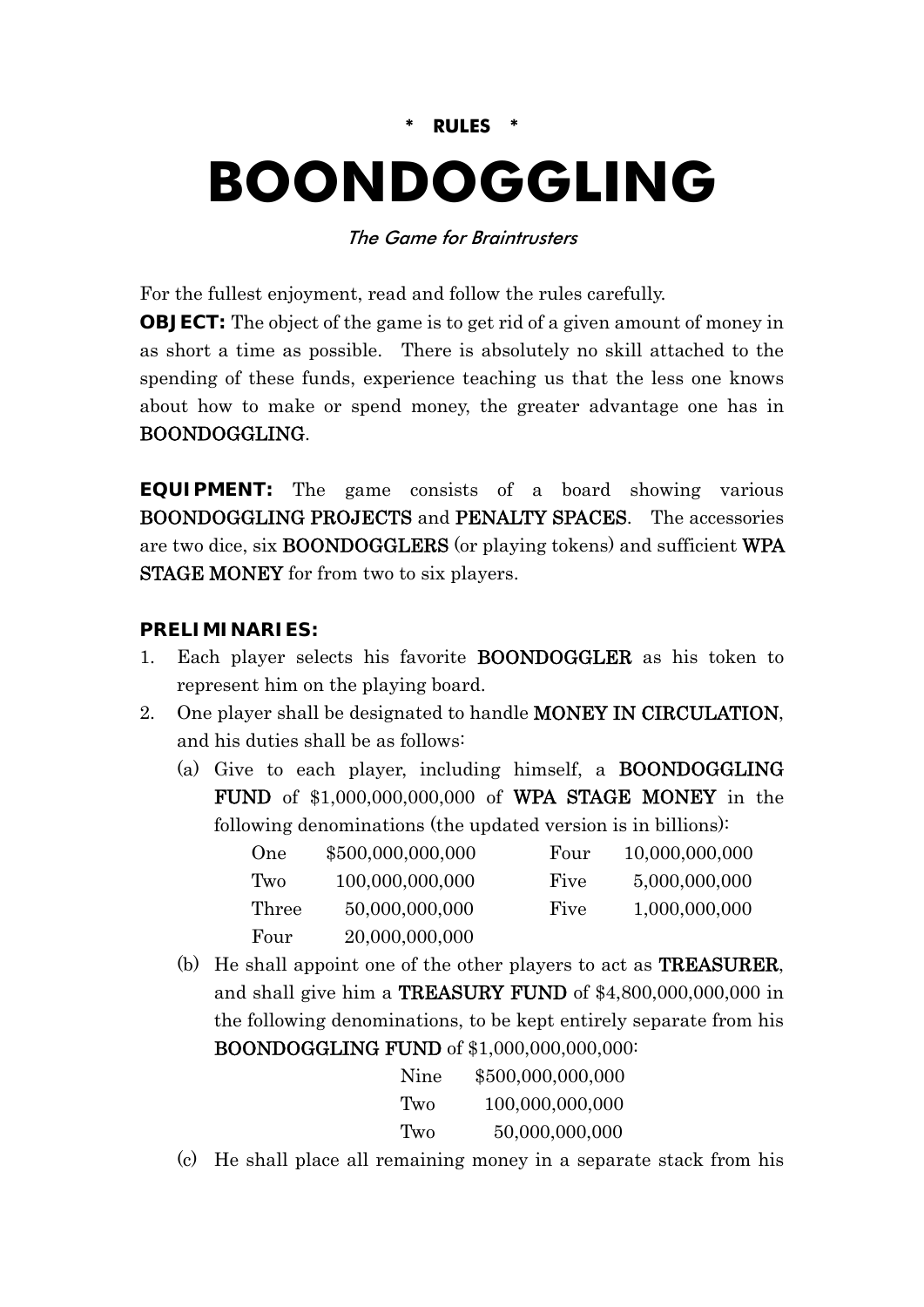## **\* RULES \***

# **BOONDOGGLING**

#### The Game for Braintrusters

For the fullest enjoyment, read and follow the rules carefully.

**OBJECT:** The object of the game is to get rid of a given amount of money in as short a time as possible. There is absolutely no skill attached to the spending of these funds, experience teaching us that the less one knows about how to make or spend money, the greater advantage one has in BOONDOGGLING.

**EQUIPMENT:** The game consists of a board showing various BOONDOGGLING PROJECTS and PENALTY SPACES. The accessories are two dice, six BOONDOGGLERS (or playing tokens) and sufficient WPA STAGE MONEY for from two to six players.

### **PRELIMINARIES:**

- 1. Each player selects his favorite BOONDOGGLER as his token to represent him on the playing board.
- 2. One player shall be designated to handle MONEY IN CIRCULATION, and his duties shall be as follows:
	- (a) Give to each player, including himself, a BOONDOGGLING FUND of \$1,000,000,000,000 of WPA STAGE MONEY in the following denominations (the updated version is in billions):

| One   | \$500,000,000,000 | Four | 10,000,000,000 |
|-------|-------------------|------|----------------|
| Two   | 100,000,000,000   | Five | 5,000,000,000  |
| Three | 50,000,000,000    | Five | 1,000,000,000  |
| Four  | 20,000,000,000    |      |                |

(b) He shall appoint one of the other players to act as TREASURER, and shall give him a TREASURY FUND of \$4,800,000,000,000 in the following denominations, to be kept entirely separate from his BOONDOGGLING FUND of \$1,000,000,000,000:

| Nine  | \$500,000,000,000 |
|-------|-------------------|
| 'Iwo  | 100,000,000,000   |
| 'I'wo | 50,000,000,000    |

(c) He shall place all remaining money in a separate stack from his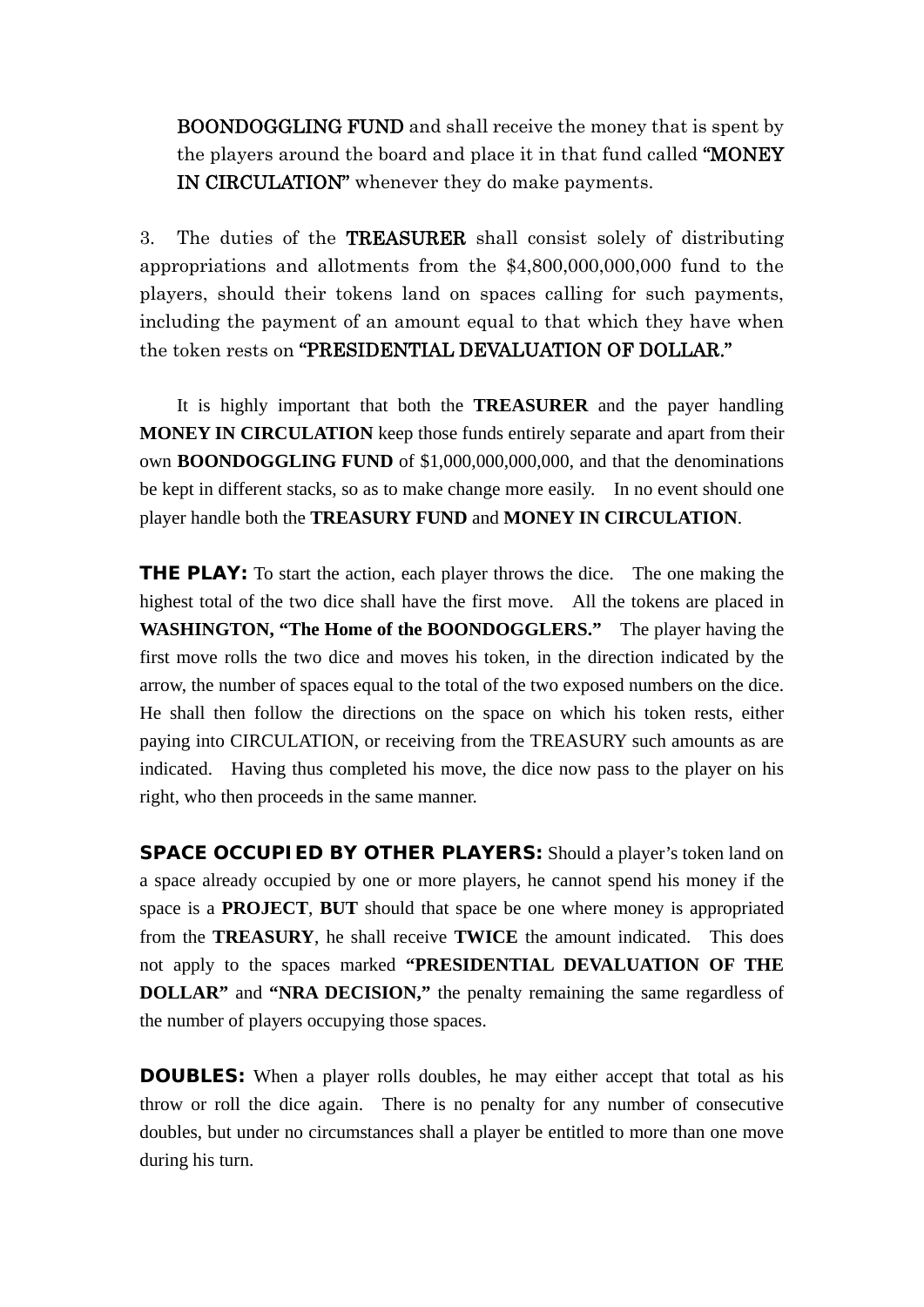BOONDOGGLING FUND and shall receive the money that is spent by the players around the board and place it in that fund called "MONEY IN CIRCULATION" whenever they do make payments.

3. The duties of the TREASURER shall consist solely of distributing appropriations and allotments from the \$4,800,000,000,000 fund to the players, should their tokens land on spaces calling for such payments, including the payment of an amount equal to that which they have when the token rests on "PRESIDENTIAL DEVALUATION OF DOLLAR."

 It is highly important that both the **TREASURER** and the payer handling **MONEY IN CIRCULATION** keep those funds entirely separate and apart from their own **BOONDOGGLING FUND** of \$1,000,000,000,000, and that the denominations be kept in different stacks, so as to make change more easily. In no event should one player handle both the **TREASURY FUND** and **MONEY IN CIRCULATION**.

**THE PLAY:** To start the action, each player throws the dice. The one making the highest total of the two dice shall have the first move. All the tokens are placed in **WASHINGTON, "The Home of the BOONDOGGLERS."** The player having the first move rolls the two dice and moves his token, in the direction indicated by the arrow, the number of spaces equal to the total of the two exposed numbers on the dice. He shall then follow the directions on the space on which his token rests, either paying into CIRCULATION, or receiving from the TREASURY such amounts as are indicated. Having thus completed his move, the dice now pass to the player on his right, who then proceeds in the same manner.

**SPACE OCCUPIED BY OTHER PLAYERS:** Should a player's token land on a space already occupied by one or more players, he cannot spend his money if the space is a **PROJECT**, **BUT** should that space be one where money is appropriated from the **TREASURY**, he shall receive **TWICE** the amount indicated. This does not apply to the spaces marked **"PRESIDENTIAL DEVALUATION OF THE DOLLAR"** and **"NRA DECISION,"** the penalty remaining the same regardless of the number of players occupying those spaces.

**DOUBLES:** When a player rolls doubles, he may either accept that total as his throw or roll the dice again. There is no penalty for any number of consecutive doubles, but under no circumstances shall a player be entitled to more than one move during his turn.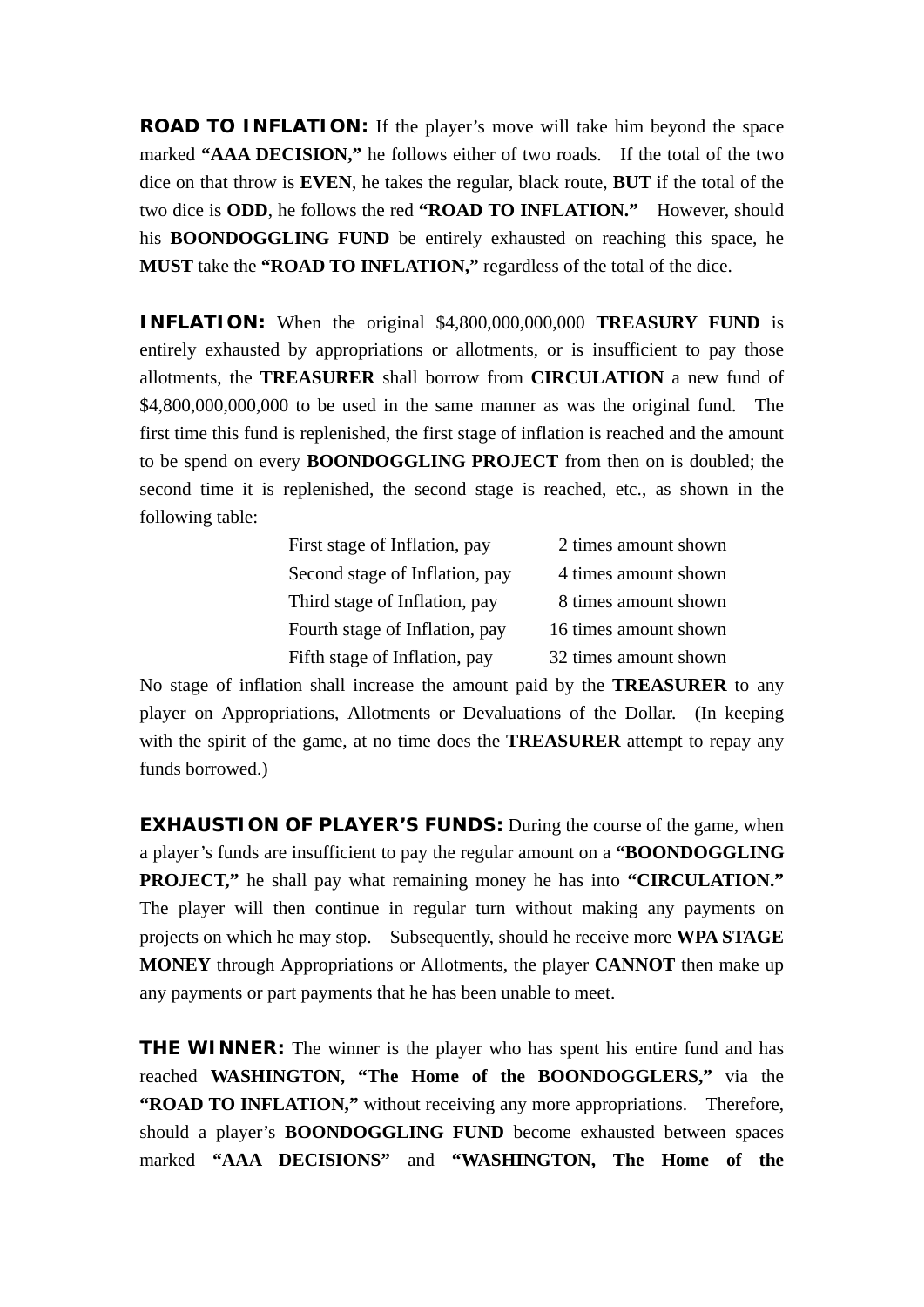**ROAD TO INFLATION:** If the player's move will take him beyond the space marked **"AAA DECISION,"** he follows either of two roads. If the total of the two dice on that throw is **EVEN**, he takes the regular, black route, **BUT** if the total of the two dice is **ODD**, he follows the red **"ROAD TO INFLATION."** However, should his **BOONDOGGLING FUND** be entirely exhausted on reaching this space, he **MUST** take the **"ROAD TO INFLATION,"** regardless of the total of the dice.

**INFLATION:** When the original \$4,800,000,000,000 **TREASURY FUND** is entirely exhausted by appropriations or allotments, or is insufficient to pay those allotments, the **TREASURER** shall borrow from **CIRCULATION** a new fund of \$4,800,000,000,000 to be used in the same manner as was the original fund. The first time this fund is replenished, the first stage of inflation is reached and the amount to be spend on every **BOONDOGGLING PROJECT** from then on is doubled; the second time it is replenished, the second stage is reached, etc., as shown in the following table:

| First stage of Inflation, pay  | 2 times amount shown  |
|--------------------------------|-----------------------|
| Second stage of Inflation, pay | 4 times amount shown  |
| Third stage of Inflation, pay  | 8 times amount shown  |
| Fourth stage of Inflation, pay | 16 times amount shown |
| Fifth stage of Inflation, pay  | 32 times amount shown |

No stage of inflation shall increase the amount paid by the **TREASURER** to any player on Appropriations, Allotments or Devaluations of the Dollar. (In keeping with the spirit of the game, at no time does the **TREASURER** attempt to repay any funds borrowed.)

**EXHAUSTION OF PLAYER'S FUNDS:** During the course of the game, when a player's funds are insufficient to pay the regular amount on a **"BOONDOGGLING PROJECT,"** he shall pay what remaining money he has into **"CIRCULATION."** The player will then continue in regular turn without making any payments on projects on which he may stop. Subsequently, should he receive more **WPA STAGE MONEY** through Appropriations or Allotments, the player **CANNOT** then make up any payments or part payments that he has been unable to meet.

**THE WINNER:** The winner is the player who has spent his entire fund and has reached **WASHINGTON, "The Home of the BOONDOGGLERS,"** via the **"ROAD TO INFLATION,"** without receiving any more appropriations. Therefore, should a player's **BOONDOGGLING FUND** become exhausted between spaces marked **"AAA DECISIONS"** and **"WASHINGTON, The Home of the**